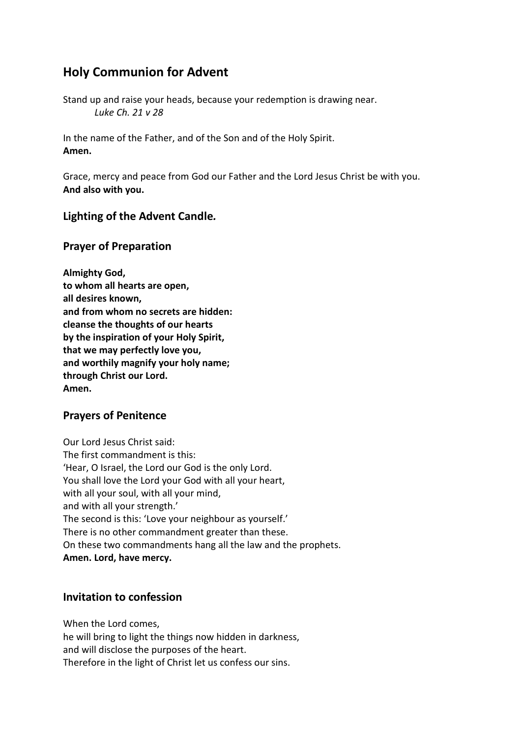# **Holy Communion for Advent**

Stand up and raise your heads, because your redemption is drawing near. *Luke Ch. 21 v 28* 

In the name of the Father, and of the Son and of the Holy Spirit. **Amen.** 

Grace, mercy and peace from God our Father and the Lord Jesus Christ be with you. **And also with you.** 

#### **Lighting of the Advent Candle***.*

## **Prayer of Preparation**

| Almighty God,                           |
|-----------------------------------------|
| to whom all hearts are open,            |
| all desires known,                      |
| and from whom no secrets are hidden:    |
| cleanse the thoughts of our hearts      |
| by the inspiration of your Holy Spirit, |
| that we may perfectly love you,         |
| and worthily magnify your holy name;    |
| through Christ our Lord.                |
| Amen.                                   |

## **Prayers of Penitence**

Our Lord Jesus Christ said: The first commandment is this: 'Hear, O Israel, the Lord our God is the only Lord. You shall love the Lord your God with all your heart, with all your soul, with all your mind, and with all your strength.' The second is this: 'Love your neighbour as yourself.' There is no other commandment greater than these. On these two commandments hang all the law and the prophets. **Amen. Lord, have mercy.** 

## **Invitation to confession**

When the Lord comes, he will bring to light the things now hidden in darkness, and will disclose the purposes of the heart. Therefore in the light of Christ let us confess our sins.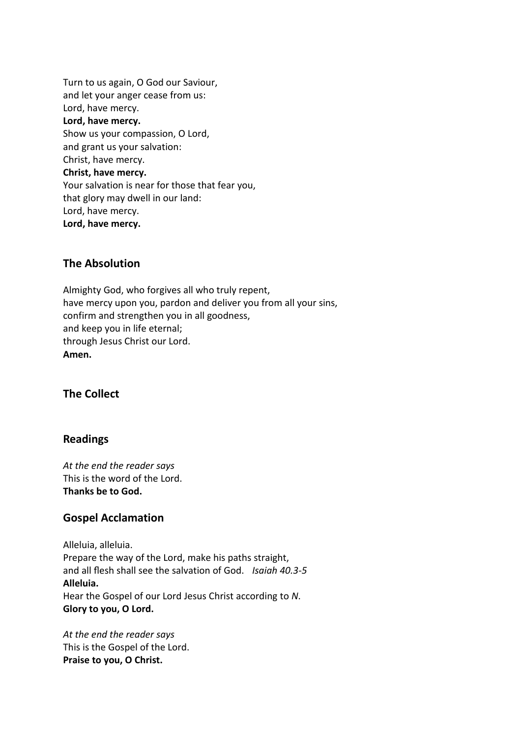Turn to us again, O God our Saviour, and let your anger cease from us: Lord, have mercy. **Lord, have mercy.**  Show us your compassion, O Lord, and grant us your salvation: Christ, have mercy. **Christ, have mercy.**  Your salvation is near for those that fear you, that glory may dwell in our land: Lord, have mercy. **Lord, have mercy.** 

## **The Absolution**

Almighty God, who forgives all who truly repent, have mercy upon you, pardon and deliver you from all your sins, confirm and strengthen you in all goodness, and keep you in life eternal; through Jesus Christ our Lord. **Amen.** 

## **The Collect**

#### **Readings**

*At the end the reader says*  This is the word of the Lord. **Thanks be to God.** 

#### **Gospel Acclamation**

Alleluia, alleluia. Prepare the way of the Lord, make his paths straight, and all flesh shall see the salvation of God. *Isaiah 40.3-5* **Alleluia.**  Hear the Gospel of our Lord Jesus Christ according to *N*. **Glory to you, O Lord.** 

*At the end the reader says*  This is the Gospel of the Lord. **Praise to you, O Christ.**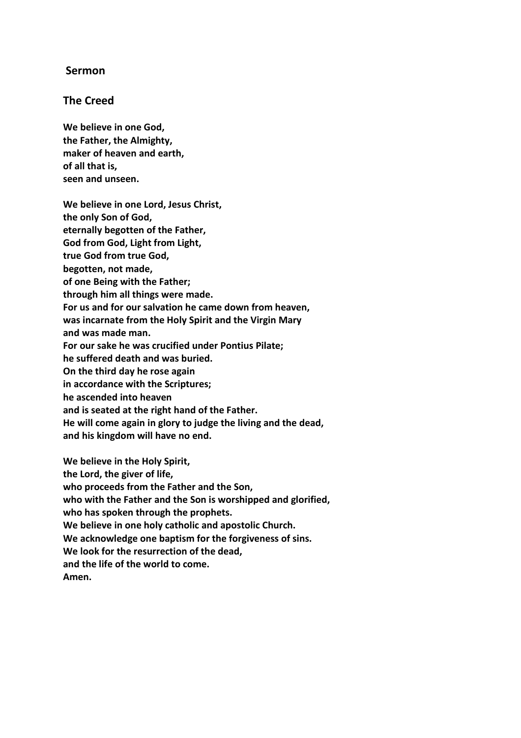## **Sermon**

#### **The Creed**

**We believe in one God, the Father, the Almighty, maker of heaven and earth, of all that is, seen and unseen.** 

**We believe in one Lord, Jesus Christ, the only Son of God, eternally begotten of the Father, God from God, Light from Light, true God from true God, begotten, not made, of one Being with the Father; through him all things were made. For us and for our salvation he came down from heaven, was incarnate from the Holy Spirit and the Virgin Mary and was made man. For our sake he was crucified under Pontius Pilate; he suffered death and was buried. On the third day he rose again in accordance with the Scriptures; he ascended into heaven and is seated at the right hand of the Father. He will come again in glory to judge the living and the dead,** 

**We believe in the Holy Spirit, the Lord, the giver of life, who proceeds from the Father and the Son, who with the Father and the Son is worshipped and glorified, who has spoken through the prophets. We believe in one holy catholic and apostolic Church. We acknowledge one baptism for the forgiveness of sins. We look for the resurrection of the dead, and the life of the world to come. Amen.** 

**and his kingdom will have no end.**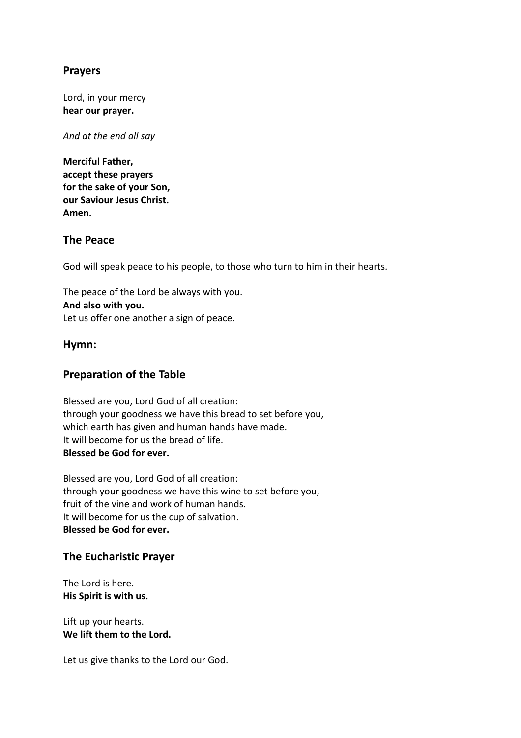## **Prayers**

Lord, in your mercy **hear our prayer.** 

*And at the end all say* 

**Merciful Father, accept these prayers for the sake of your Son, our Saviour Jesus Christ. Amen.** 

## **The Peace**

God will speak peace to his people, to those who turn to him in their hearts.

The peace of the Lord be always with you. **And also with you.**  Let us offer one another a sign of peace.

## **Hymn:**

## **Preparation of the Table**

Blessed are you, Lord God of all creation: through your goodness we have this bread to set before you, which earth has given and human hands have made. It will become for us the bread of life. **Blessed be God for ever.** 

Blessed are you, Lord God of all creation: through your goodness we have this wine to set before you, fruit of the vine and work of human hands. It will become for us the cup of salvation. **Blessed be God for ever.** 

#### **The Eucharistic Prayer**

The Lord is here. **His Spirit is with us.** 

Lift up your hearts. **We lift them to the Lord.** 

Let us give thanks to the Lord our God.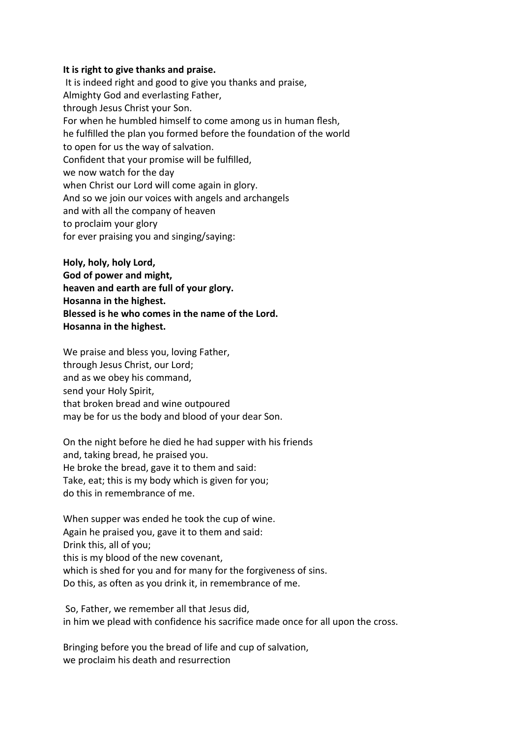#### **It is right to give thanks and praise.**

 It is indeed right and good to give you thanks and praise, Almighty God and everlasting Father, through Jesus Christ your Son. For when he humbled himself to come among us in human flesh, he fulfilled the plan you formed before the foundation of the world to open for us the way of salvation. Confident that your promise will be fulfilled, we now watch for the day when Christ our Lord will come again in glory. And so we join our voices with angels and archangels and with all the company of heaven to proclaim your glory for ever praising you and singing/saying:

**Holy, holy, holy Lord, God of power and might,** 

**heaven and earth are full of your glory.** 

**Hosanna in the highest.** 

**Blessed is he who comes in the name of the Lord.** 

**Hosanna in the highest.**

We praise and bless you, loving Father, through Jesus Christ, our Lord; and as we obey his command, send your Holy Spirit, that broken bread and wine outpoured may be for us the body and blood of your dear Son.

On the night before he died he had supper with his friends and, taking bread, he praised you. He broke the bread, gave it to them and said: Take, eat; this is my body which is given for you; do this in remembrance of me.

When supper was ended he took the cup of wine. Again he praised you, gave it to them and said: Drink this, all of you; this is my blood of the new covenant, which is shed for you and for many for the forgiveness of sins. Do this, as often as you drink it, in remembrance of me.

 So, Father, we remember all that Jesus did, in him we plead with confidence his sacrifice made once for all upon the cross.

Bringing before you the bread of life and cup of salvation, we proclaim his death and resurrection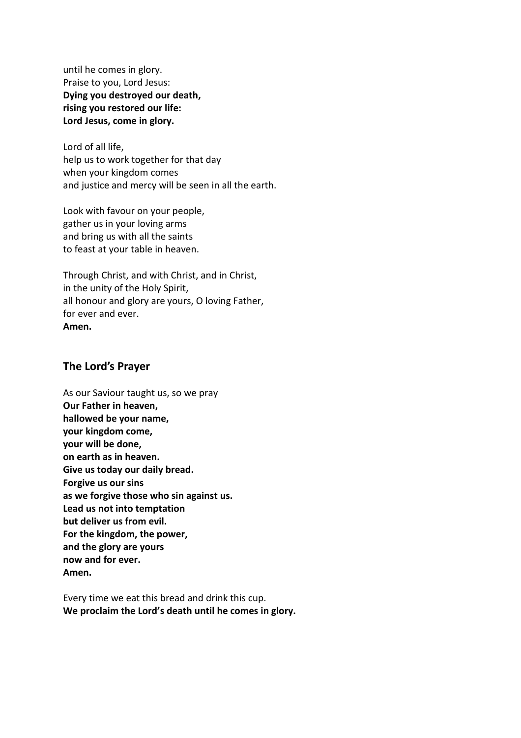until he comes in glory. Praise to you, Lord Jesus: **Dying you destroyed our death, rising you restored our life: Lord Jesus, come in glory.**

Lord of all life, help us to work together for that day when your kingdom comes and justice and mercy will be seen in all the earth.

Look with favour on your people, gather us in your loving arms and bring us with all the saints to feast at your table in heaven.

Through Christ, and with Christ, and in Christ, in the unity of the Holy Spirit, all honour and glory are yours, O loving Father, for ever and ever. **Amen.** 

#### **The Lord's Prayer**

As our Saviour taught us, so we pray **Our Father in heaven, hallowed be your name, your kingdom come, your will be done, on earth as in heaven. Give us today our daily bread. Forgive us our sins as we forgive those who sin against us. Lead us not into temptation but deliver us from evil. For the kingdom, the power, and the glory are yours now and for ever. Amen.** 

Every time we eat this bread and drink this cup. **We proclaim the Lord's death until he comes in glory.**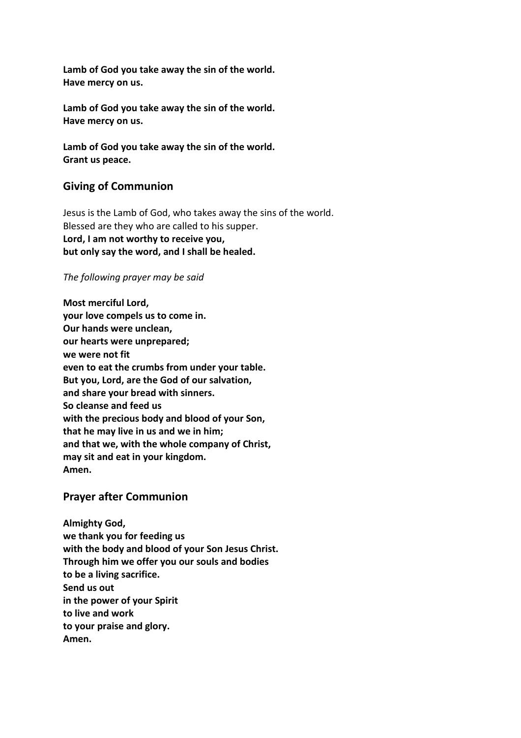**Lamb of God you take away the sin of the world. Have mercy on us.** 

**Lamb of God you take away the sin of the world. Have mercy on us.** 

**Lamb of God you take away the sin of the world. Grant us peace.** 

## **Giving of Communion**

Jesus is the Lamb of God, who takes away the sins of the world. Blessed are they who are called to his supper. **Lord, I am not worthy to receive you, but only say the word, and I shall be healed.** 

#### *The following prayer may be said*

**Most merciful Lord, your love compels us to come in. Our hands were unclean, our hearts were unprepared; we were not fit even to eat the crumbs from under your table. But you, Lord, are the God of our salvation, and share your bread with sinners. So cleanse and feed us with the precious body and blood of your Son, that he may live in us and we in him; and that we, with the whole company of Christ, may sit and eat in your kingdom. Amen.** 

## **Prayer after Communion**

**Almighty God, we thank you for feeding us with the body and blood of your Son Jesus Christ. Through him we offer you our souls and bodies to be a living sacrifice. Send us out in the power of your Spirit to live and work to your praise and glory. Amen.**